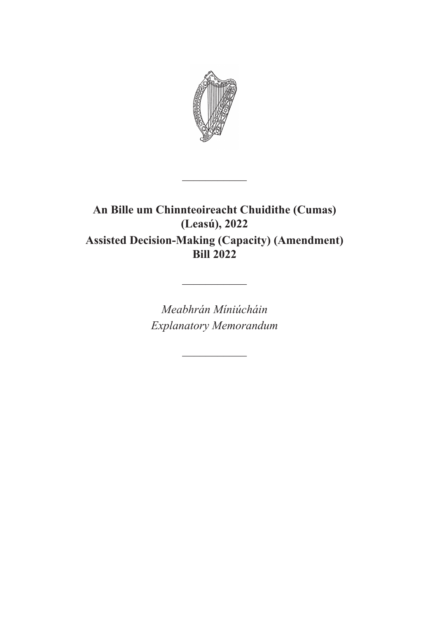

# **An Bille um Chinnteoireacht Chuidithe (Cumas) (Leasú), 2022 Assisted Decision-Making (Capacity) (Amendment) Bill 2022**

 $\frac{1}{2}$ 

*Meabhrán Míniúcháin Explanatory Memorandum*

 $\overline{\phantom{a}}$ 

 $\frac{1}{2}$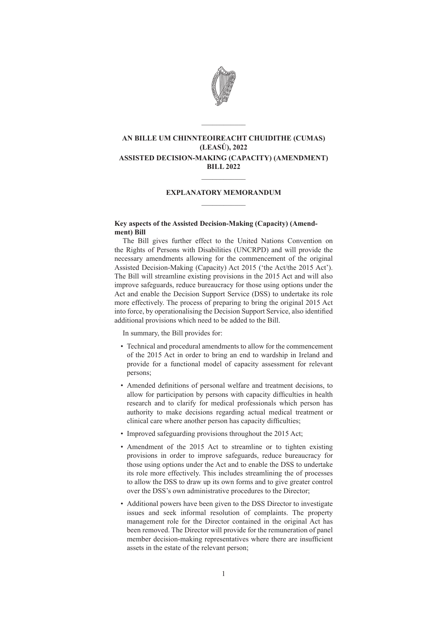

# **AN BILLE UM CHINNTEOIREACHT CHUIDITHE (CUMAS) (LEASÚ), 2022 ASSISTED DECISION-MAKING (CAPACITY) (AMENDMENT) BILL 2022**

 $\mathcal{L}=\mathcal{L}$ 

# **EXPLANATORY MEMORANDUM**  $\frac{1}{2}$

 $\mathcal{L}=\mathcal{L}$ 

# **Key aspects of the Assisted Decision-Making (Capacity) (Amendment) Bill**

The Bill gives further effect to the United Nations Convention on the Rights of Persons with Disabilities (UNCRPD) and will provide the necessary amendments allowing for the commencement of the original Assisted Decision-Making (Capacity) Act 2015 ('the Act/the 2015 Act'). The Bill will streamline existing provisions in the 2015 Act and will also improve safeguards, reduce bureaucracy for those using options under the Act and enable the Decision Support Service (DSS) to undertake its role more effectively. The process of preparing to bring the original 2015 Act into force, by operationalising the Decision Support Service, also identified additional provisions which need to be added to the Bill.

In summary, the Bill provides for:

- Technical and procedural amendments to allow for the commencement of the 2015 Act in order to bring an end to wardship in Ireland and provide for a functional model of capacity assessment for relevant persons;
- Amended definitions of personal welfare and treatment decisions, to allow for participation by persons with capacity difficulties in health research and to clarify for medical professionals which person has authority to make decisions regarding actual medical treatment or clinical care where another person has capacity difficulties;
- Improved safeguarding provisions throughout the 2015 Act;
- Amendment of the 2015 Act to streamline or to tighten existing provisions in order to improve safeguards, reduce bureaucracy for those using options under the Act and to enable the DSS to undertake its role more effectively. This includes streamlining the of processes to allow the DSS to draw up its own forms and to give greater control over the DSS's own administrative procedures to the Director;
- Additional powers have been given to the DSS Director to investigate issues and seek informal resolution of complaints. The property management role for the Director contained in the original Act has been removed. The Director will provide for the remuneration of panel member decision-making representatives where there are insufficient assets in the estate of the relevant person;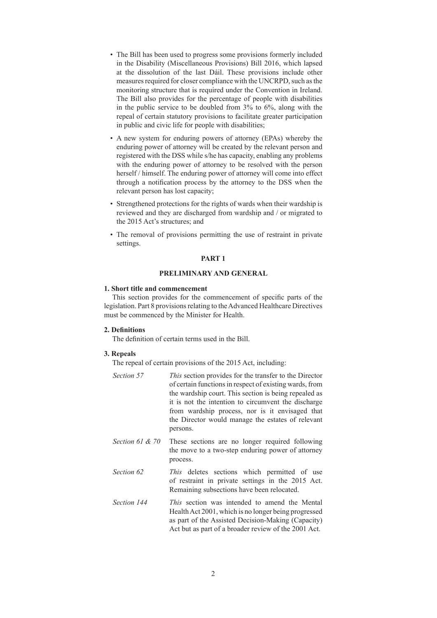- The Bill has been used to progress some provisions formerly included in the Disability (Miscellaneous Provisions) Bill 2016, which lapsed at the dissolution of the last Dáil. These provisions include other measures required for closer compliance with the UNCRPD, such as the monitoring structure that is required under the Convention in Ireland. The Bill also provides for the percentage of people with disabilities in the public service to be doubled from 3% to 6%, along with the repeal of certain statutory provisions to facilitate greater participation in public and civic life for people with disabilities;
- A new system for enduring powers of attorney (EPAs) whereby the enduring power of attorney will be created by the relevant person and registered with the DSS while s/he has capacity, enabling any problems with the enduring power of attorney to be resolved with the person herself / himself. The enduring power of attorney will come into effect through a notification process by the attorney to the DSS when the relevant person has lost capacity;
- Strengthened protections for the rights of wards when their wardship is reviewed and they are discharged from wardship and / or migrated to the 2015 Act's structures; and
- The removal of provisions permitting the use of restraint in private settings.

# **PART 1**

# **PRELIMINARY AND GENERAL**

# **1. Short title and commencement**

This section provides for the commencement of specific parts of the legislation. Part 8 provisions relating to the Advanced Healthcare Directives must be commenced by the Minister for Health.

# **2. Definitions**

The definition of certain terms used in the Bill.

#### **3. Repeals**

The repeal of certain provisions of the 2015 Act, including:

- *Section 57 This* section provides for the transfer to the Director of certain functions in respect of existing wards, from the wardship court. This section is being repealed as it is not the intention to circumvent the discharge from wardship process, nor is it envisaged that the Director would manage the estates of relevant persons.
- *Section 61 & 70* These sections are no longer required following the move to a two-step enduring power of attorney process.
- *Section 62 This* deletes sections which permitted of use of restraint in private settings in the 2015 Act. Remaining subsections have been relocated.
- *Section 144 This* section was intended to amend the Mental Health Act 2001, which is no longer being progressed as part of the Assisted Decision-Making (Capacity) Act but as part of a broader review of the 2001 Act.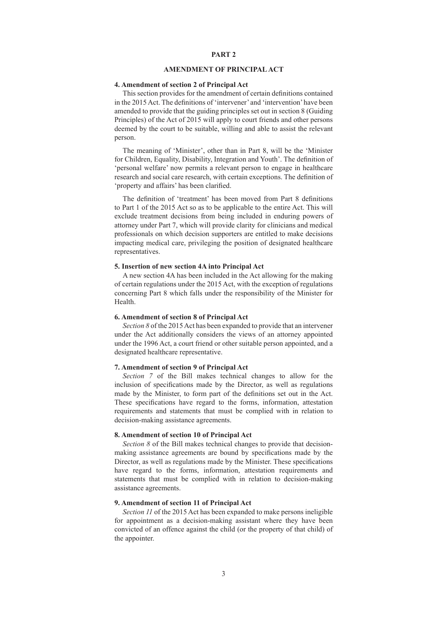# **PART 2**

# **AMENDMENT OF PRINCIPAL ACT**

# **4. Amendment of section 2 of Principal Act**

This section provides for the amendment of certain definitions contained in the 2015 Act. The definitions of 'intervener' and 'intervention' have been amended to provide that the guiding principles set out in section 8 (Guiding Principles) of the Act of 2015 will apply to court friends and other persons deemed by the court to be suitable, willing and able to assist the relevant person.

The meaning of 'Minister', other than in Part 8, will be the 'Minister for Children, Equality, Disability, Integration and Youth'. The definition of 'personal welfare' now permits a relevant person to engage in healthcare research and social care research, with certain exceptions. The definition of 'property and affairs' has been clarified.

The definition of 'treatment' has been moved from Part 8 definitions to Part 1 of the 2015 Act so as to be applicable to the entire Act. This will exclude treatment decisions from being included in enduring powers of attorney under Part 7, which will provide clarity for clinicians and medical professionals on which decision supporters are entitled to make decisions impacting medical care, privileging the position of designated healthcare representatives.

#### **5. Insertion of new section 4A into Principal Act**

A new section 4A has been included in the Act allowing for the making of certain regulations under the 2015 Act, with the exception of regulations concerning Part 8 which falls under the responsibility of the Minister for Health.

#### **6. Amendment of section 8 of Principal Act**

*Section 8* of the 2015 Act has been expanded to provide that an intervener under the Act additionally considers the views of an attorney appointed under the 1996 Act, a court friend or other suitable person appointed, and a designated healthcare representative.

# **7. Amendment of section 9 of Principal Act**

*Section 7* of the Bill makes technical changes to allow for the inclusion of specifications made by the Director, as well as regulations made by the Minister, to form part of the definitions set out in the Act. These specifications have regard to the forms, information, attestation requirements and statements that must be complied with in relation to decision-making assistance agreements.

# **8. Amendment of section 10 of Principal Act**

*Section 8* of the Bill makes technical changes to provide that decisionmaking assistance agreements are bound by specifications made by the Director, as well as regulations made by the Minister. These specifications have regard to the forms, information, attestation requirements and statements that must be complied with in relation to decision-making assistance agreements.

# **9. Amendment of section 11 of Principal Act**

*Section 11* of the 2015 Act has been expanded to make persons ineligible for appointment as a decision-making assistant where they have been convicted of an offence against the child (or the property of that child) of the appointer.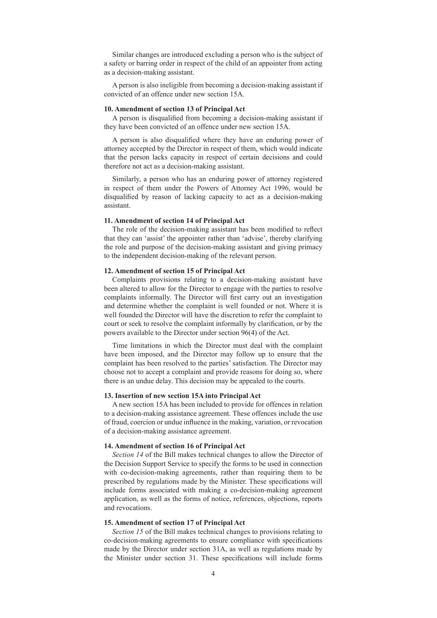Similar changes are introduced excluding a person who is the subject of a safety or barring order in respect of the child of an appointer from acting as a decision-making assistant.

A person is also ineligible from becoming a decision-making assistant if convicted of an offence under new section 15A.

# **10. Amendment of section 13 of Principal Act**

A person is disqualified from becoming a decision-making assistant if they have been convicted of an offence under new section 15A.

A person is also disqualified where they have an enduring power of attorney accepted by the Director in respect of them, which would indicate that the person lacks capacity in respect of certain decisions and could therefore not act as a decision-making assistant.

Similarly, a person who has an enduring power of attorney registered in respect of them under the Powers of Attorney Act 1996, would be disqualified by reason of lacking capacity to act as a decision-making assistant.

# **11. Amendment of section 14 of Principal Act**

The role of the decision-making assistant has been modified to reflect that they can 'assist' the appointer rather than 'advise', thereby clarifying the role and purpose of the decision-making assistant and giving primacy to the independent decision-making of the relevant person.

# **12. Amendment of section 15 of Principal Act**

Complaints provisions relating to a decision-making assistant have been altered to allow for the Director to engage with the parties to resolve complaints informally. The Director will first carry out an investigation and determine whether the complaint is well founded or not. Where it is well founded the Director will have the discretion to refer the complaint to court or seek to resolve the complaint informally by clarification, or by the powers available to the Director under section 96(4) of the Act.

Time limitations in which the Director must deal with the complaint have been imposed, and the Director may follow up to ensure that the complaint has been resolved to the parties' satisfaction. The Director may choose not to accept a complaint and provide reasons for doing so, where there is an undue delay. This decision may be appealed to the courts.

#### **13. Insertion of new section 15A into Principal Act**

A new section 15A has been included to provide for offences in relation to a decision-making assistance agreement. These offences include the use of fraud, coercion or undue influence in the making, variation, or revocation of a decision-making assistance agreement.

#### **14. Amendment of section 16 of Principal Act**

*Section 14* of the Bill makes technical changes to allow the Director of the Decision Support Service to specify the forms to be used in connection with co-decision-making agreements, rather than requiring them to be prescribed by regulations made by the Minister. These specifications will include forms associated with making a co-decision-making agreement application, as well as the forms of notice, references, objections, reports and revocations.

#### **15. Amendment of section 17 of Principal Act**

*Section 15* of the Bill makes technical changes to provisions relating to co-decision-making agreements to ensure compliance with specifications made by the Director under section 31A, as well as regulations made by the Minister under section 31. These specifications will include forms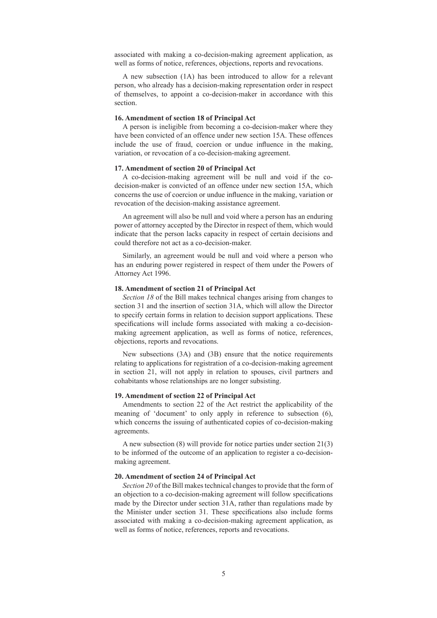associated with making a co-decision-making agreement application, as well as forms of notice, references, objections, reports and revocations.

A new subsection (1A) has been introduced to allow for a relevant person, who already has a decision-making representation order in respect of themselves, to appoint a co-decision-maker in accordance with this section.

#### **16. Amendment of section 18 of Principal Act**

A person is ineligible from becoming a co-decision-maker where they have been convicted of an offence under new section 15A. These offences include the use of fraud, coercion or undue influence in the making, variation, or revocation of a co-decision-making agreement.

#### **17. Amendment of section 20 of Principal Act**

A co-decision-making agreement will be null and void if the codecision-maker is convicted of an offence under new section 15A, which concerns the use of coercion or undue influence in the making, variation or revocation of the decision-making assistance agreement.

An agreement will also be null and void where a person has an enduring power of attorney accepted by the Director in respect of them, which would indicate that the person lacks capacity in respect of certain decisions and could therefore not act as a co-decision-maker.

Similarly, an agreement would be null and void where a person who has an enduring power registered in respect of them under the Powers of Attorney Act 1996.

# **18. Amendment of section 21 of Principal Act**

*Section 18* of the Bill makes technical changes arising from changes to section 31 and the insertion of section 31A, which will allow the Director to specify certain forms in relation to decision support applications. These specifications will include forms associated with making a co-decisionmaking agreement application, as well as forms of notice, references, objections, reports and revocations.

New subsections (3A) and (3B) ensure that the notice requirements relating to applications for registration of a co-decision-making agreement in section 21, will not apply in relation to spouses, civil partners and cohabitants whose relationships are no longer subsisting.

#### **19. Amendment of section 22 of Principal Act**

Amendments to section 22 of the Act restrict the applicability of the meaning of 'document' to only apply in reference to subsection (6), which concerns the issuing of authenticated copies of co-decision-making agreements.

A new subsection (8) will provide for notice parties under section 21(3) to be informed of the outcome of an application to register a co-decisionmaking agreement.

# **20. Amendment of section 24 of Principal Act**

*Section 20* of the Bill makes technical changes to provide that the form of an objection to a co-decision-making agreement will follow specifications made by the Director under section 31A, rather than regulations made by the Minister under section 31. These specifications also include forms associated with making a co-decision-making agreement application, as well as forms of notice, references, reports and revocations.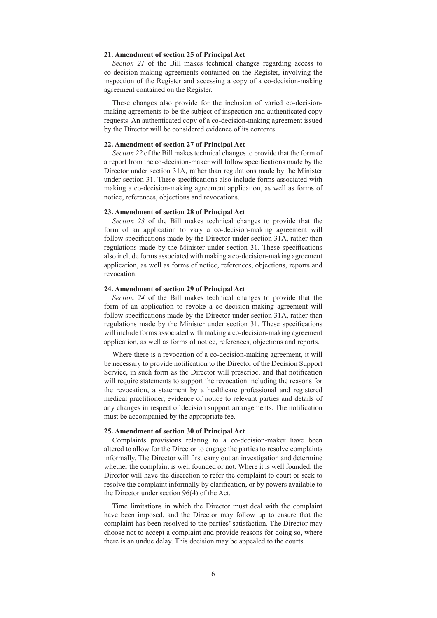# **21. Amendment of section 25 of Principal Act**

*Section 21* of the Bill makes technical changes regarding access to co-decision-making agreements contained on the Register, involving the inspection of the Register and accessing a copy of a co-decision-making agreement contained on the Register.

These changes also provide for the inclusion of varied co-decisionmaking agreements to be the subject of inspection and authenticated copy requests. An authenticated copy of a co-decision-making agreement issued by the Director will be considered evidence of its contents.

## **22. Amendment of section 27 of Principal Act**

*Section 22* of the Bill makes technical changes to provide that the form of a report from the co-decision-maker will follow specifications made by the Director under section 31A, rather than regulations made by the Minister under section 31. These specifications also include forms associated with making a co-decision-making agreement application, as well as forms of notice, references, objections and revocations.

# **23. Amendment of section 28 of Principal Act**

*Section 23* of the Bill makes technical changes to provide that the form of an application to vary a co-decision-making agreement will follow specifications made by the Director under section 31A, rather than regulations made by the Minister under section 31. These specifications also include forms associated with making a co-decision-making agreement application, as well as forms of notice, references, objections, reports and revocation.

# **24. Amendment of section 29 of Principal Act**

*Section 24* of the Bill makes technical changes to provide that the form of an application to revoke a co-decision-making agreement will follow specifications made by the Director under section 31A, rather than regulations made by the Minister under section 31. These specifications will include forms associated with making a co-decision-making agreement application, as well as forms of notice, references, objections and reports.

Where there is a revocation of a co-decision-making agreement, it will be necessary to provide notification to the Director of the Decision Support Service, in such form as the Director will prescribe, and that notification will require statements to support the revocation including the reasons for the revocation, a statement by a healthcare professional and registered medical practitioner, evidence of notice to relevant parties and details of any changes in respect of decision support arrangements. The notification must be accompanied by the appropriate fee.

## **25. Amendment of section 30 of Principal Act**

Complaints provisions relating to a co-decision-maker have been altered to allow for the Director to engage the parties to resolve complaints informally. The Director will first carry out an investigation and determine whether the complaint is well founded or not. Where it is well founded, the Director will have the discretion to refer the complaint to court or seek to resolve the complaint informally by clarification, or by powers available to the Director under section 96(4) of the Act.

Time limitations in which the Director must deal with the complaint have been imposed, and the Director may follow up to ensure that the complaint has been resolved to the parties' satisfaction. The Director may choose not to accept a complaint and provide reasons for doing so, where there is an undue delay. This decision may be appealed to the courts.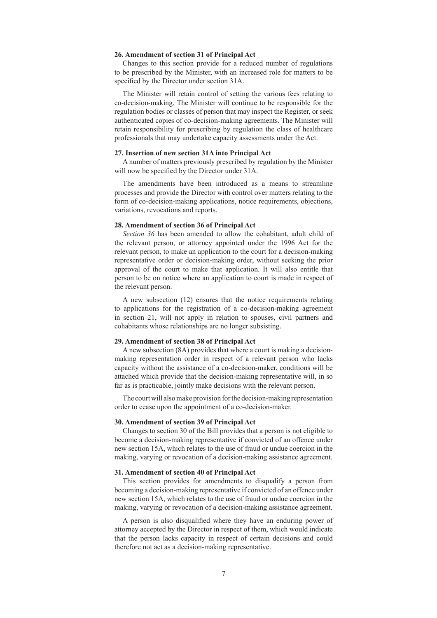# **26. Amendment of section 31 of Principal Act**

Changes to this section provide for a reduced number of regulations to be prescribed by the Minister, with an increased role for matters to be specified by the Director under section 31A.

The Minister will retain control of setting the various fees relating to co-decision-making. The Minister will continue to be responsible for the regulation bodies or classes of person that may inspect the Register, or seek authenticated copies of co-decision-making agreements. The Minister will retain responsibility for prescribing by regulation the class of healthcare professionals that may undertake capacity assessments under the Act.

## **27. Insertion of new section 31A into Principal Act**

A number of matters previously prescribed by regulation by the Minister will now be specified by the Director under 31A.

The amendments have been introduced as a means to streamline processes and provide the Director with control over matters relating to the form of co-decision-making applications, notice requirements, objections, variations, revocations and reports.

#### **28. Amendment of section 36 of Principal Act**

*Section 36* has been amended to allow the cohabitant, adult child of the relevant person, or attorney appointed under the 1996 Act for the relevant person, to make an application to the court for a decision-making representative order or decision-making order, without seeking the prior approval of the court to make that application. It will also entitle that person to be on notice where an application to court is made in respect of the relevant person.

A new subsection (12) ensures that the notice requirements relating to applications for the registration of a co-decision-making agreement in section 21, will not apply in relation to spouses, civil partners and cohabitants whose relationships are no longer subsisting.

## **29. Amendment of section 38 of Principal Act**

A new subsection (8A) provides that where a court is making a decisionmaking representation order in respect of a relevant person who lacks capacity without the assistance of a co-decision-maker, conditions will be attached which provide that the decision-making representative will, in so far as is practicable, jointly make decisions with the relevant person.

The court will also make provision for the decision-making representation order to cease upon the appointment of a co-decision-maker.

#### **30. Amendment of section 39 of Principal Act**

Changes to section 30 of the Bill provides that a person is not eligible to become a decision-making representative if convicted of an offence under new section 15A, which relates to the use of fraud or undue coercion in the making, varying or revocation of a decision-making assistance agreement.

## **31. Amendment of section 40 of Principal Act**

This section provides for amendments to disqualify a person from becoming a decision-making representative if convicted of an offence under new section 15A, which relates to the use of fraud or undue coercion in the making, varying or revocation of a decision-making assistance agreement.

A person is also disqualified where they have an enduring power of attorney accepted by the Director in respect of them, which would indicate that the person lacks capacity in respect of certain decisions and could therefore not act as a decision-making representative.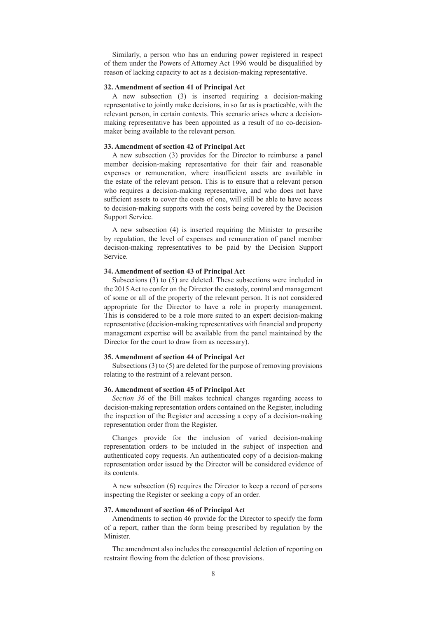Similarly, a person who has an enduring power registered in respect of them under the Powers of Attorney Act 1996 would be disqualified by reason of lacking capacity to act as a decision-making representative.

# **32. Amendment of section 41 of Principal Act**

A new subsection (3) is inserted requiring a decision-making representative to jointly make decisions, in so far as is practicable, with the relevant person, in certain contexts. This scenario arises where a decisionmaking representative has been appointed as a result of no co-decisionmaker being available to the relevant person.

## **33. Amendment of section 42 of Principal Act**

A new subsection (3) provides for the Director to reimburse a panel member decision-making representative for their fair and reasonable expenses or remuneration, where insufficient assets are available in the estate of the relevant person. This is to ensure that a relevant person who requires a decision-making representative, and who does not have sufficient assets to cover the costs of one, will still be able to have access to decision-making supports with the costs being covered by the Decision Support Service.

A new subsection (4) is inserted requiring the Minister to prescribe by regulation, the level of expenses and remuneration of panel member decision-making representatives to be paid by the Decision Support Service.

#### **34. Amendment of section 43 of Principal Act**

Subsections (3) to (5) are deleted. These subsections were included in the 2015 Act to confer on the Director the custody, control and management of some or all of the property of the relevant person. It is not considered appropriate for the Director to have a role in property management. This is considered to be a role more suited to an expert decision-making representative (decision-making representatives with financial and property management expertise will be available from the panel maintained by the Director for the court to draw from as necessary).

# **35. Amendment of section 44 of Principal Act**

Subsections (3) to (5) are deleted for the purpose of removing provisions relating to the restraint of a relevant person.

# **36. Amendment of section 45 of Principal Act**

*Section 36* of the Bill makes technical changes regarding access to decision-making representation orders contained on the Register, including the inspection of the Register and accessing a copy of a decision-making representation order from the Register.

Changes provide for the inclusion of varied decision-making representation orders to be included in the subject of inspection and authenticated copy requests. An authenticated copy of a decision-making representation order issued by the Director will be considered evidence of its contents.

A new subsection (6) requires the Director to keep a record of persons inspecting the Register or seeking a copy of an order.

# **37. Amendment of section 46 of Principal Act**

Amendments to section 46 provide for the Director to specify the form of a report, rather than the form being prescribed by regulation by the **Minister** 

The amendment also includes the consequential deletion of reporting on restraint flowing from the deletion of those provisions.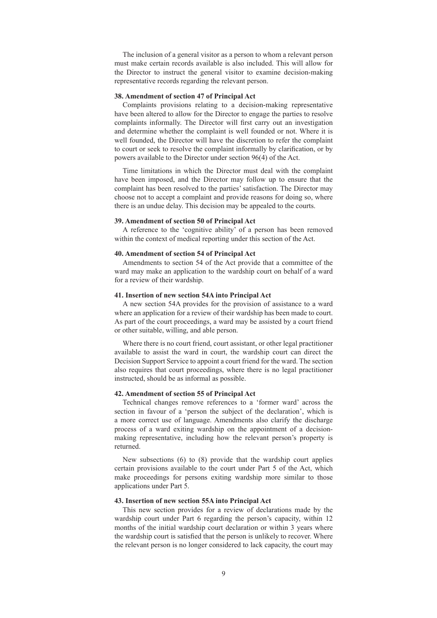The inclusion of a general visitor as a person to whom a relevant person must make certain records available is also included. This will allow for the Director to instruct the general visitor to examine decision-making representative records regarding the relevant person.

#### **38. Amendment of section 47 of Principal Act**

Complaints provisions relating to a decision-making representative have been altered to allow for the Director to engage the parties to resolve complaints informally. The Director will first carry out an investigation and determine whether the complaint is well founded or not. Where it is well founded, the Director will have the discretion to refer the complaint to court or seek to resolve the complaint informally by clarification, or by powers available to the Director under section 96(4) of the Act.

Time limitations in which the Director must deal with the complaint have been imposed, and the Director may follow up to ensure that the complaint has been resolved to the parties' satisfaction. The Director may choose not to accept a complaint and provide reasons for doing so, where there is an undue delay. This decision may be appealed to the courts.

# **39. Amendment of section 50 of Principal Act**

A reference to the 'cognitive ability' of a person has been removed within the context of medical reporting under this section of the Act.

# **40. Amendment of section 54 of Principal Act**

Amendments to section 54 of the Act provide that a committee of the ward may make an application to the wardship court on behalf of a ward for a review of their wardship.

# **41. Insertion of new section 54A into Principal Act**

A new section 54A provides for the provision of assistance to a ward where an application for a review of their wardship has been made to court. As part of the court proceedings, a ward may be assisted by a court friend or other suitable, willing, and able person.

Where there is no court friend, court assistant, or other legal practitioner available to assist the ward in court, the wardship court can direct the Decision Support Service to appoint a court friend for the ward. The section also requires that court proceedings, where there is no legal practitioner instructed, should be as informal as possible.

## **42. Amendment of section 55 of Principal Act**

Technical changes remove references to a 'former ward' across the section in favour of a 'person the subject of the declaration', which is a more correct use of language. Amendments also clarify the discharge process of a ward exiting wardship on the appointment of a decisionmaking representative, including how the relevant person's property is returned.

New subsections (6) to (8) provide that the wardship court applies certain provisions available to the court under Part 5 of the Act, which make proceedings for persons exiting wardship more similar to those applications under Part 5.

# **43. Insertion of new section 55A into Principal Act**

This new section provides for a review of declarations made by the wardship court under Part 6 regarding the person's capacity, within 12 months of the initial wardship court declaration or within 3 years where the wardship court is satisfied that the person is unlikely to recover. Where the relevant person is no longer considered to lack capacity, the court may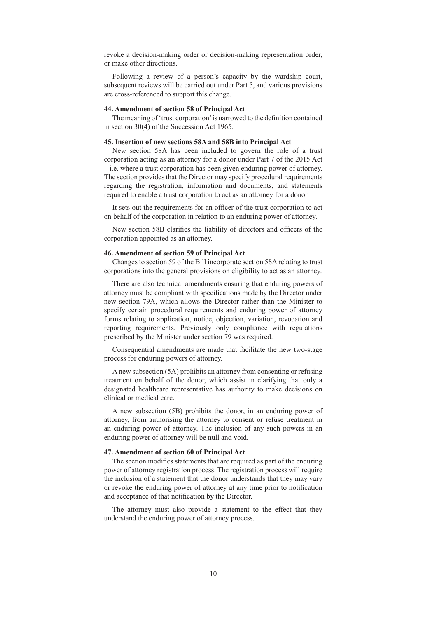revoke a decision-making order or decision-making representation order, or make other directions.

Following a review of a person's capacity by the wardship court, subsequent reviews will be carried out under Part 5, and various provisions are cross-referenced to support this change.

# **44. Amendment of section 58 of Principal Act**

The meaning of 'trust corporation' is narrowed to the definition contained in section 30(4) of the Succession Act 1965.

#### **45. Insertion of new sections 58A and 58B into Principal Act**

New section 58A has been included to govern the role of a trust corporation acting as an attorney for a donor under Part 7 of the 2015 Act – i.e. where a trust corporation has been given enduring power of attorney. The section provides that the Director may specify procedural requirements regarding the registration, information and documents, and statements required to enable a trust corporation to act as an attorney for a donor.

It sets out the requirements for an officer of the trust corporation to act on behalf of the corporation in relation to an enduring power of attorney.

New section 58B clarifies the liability of directors and officers of the corporation appointed as an attorney.

#### **46. Amendment of section 59 of Principal Act**

Changes to section 59 of the Bill incorporate section 58A relating to trust corporations into the general provisions on eligibility to act as an attorney.

There are also technical amendments ensuring that enduring powers of attorney must be compliant with specifications made by the Director under new section 79A, which allows the Director rather than the Minister to specify certain procedural requirements and enduring power of attorney forms relating to application, notice, objection, variation, revocation and reporting requirements. Previously only compliance with regulations prescribed by the Minister under section 79 was required.

Consequential amendments are made that facilitate the new two-stage process for enduring powers of attorney.

A new subsection (5A) prohibits an attorney from consenting or refusing treatment on behalf of the donor, which assist in clarifying that only a designated healthcare representative has authority to make decisions on clinical or medical care.

A new subsection (5B) prohibits the donor, in an enduring power of attorney, from authorising the attorney to consent or refuse treatment in an enduring power of attorney. The inclusion of any such powers in an enduring power of attorney will be null and void.

#### **47. Amendment of section 60 of Principal Act**

The section modifies statements that are required as part of the enduring power of attorney registration process. The registration process will require the inclusion of a statement that the donor understands that they may vary or revoke the enduring power of attorney at any time prior to notification and acceptance of that notification by the Director.

The attorney must also provide a statement to the effect that they understand the enduring power of attorney process.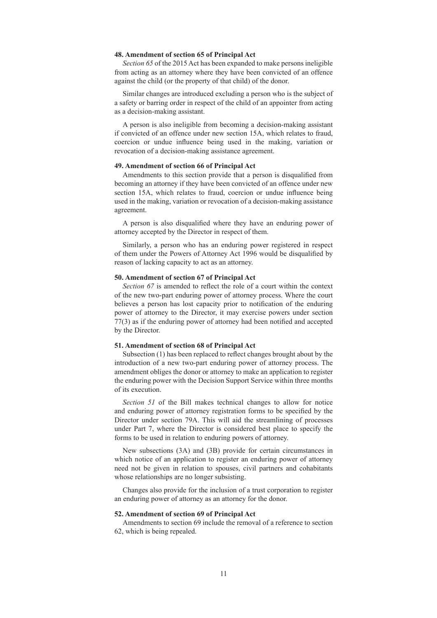# **48. Amendment of section 65 of Principal Act**

*Section 65* of the 2015 Act has been expanded to make persons ineligible from acting as an attorney where they have been convicted of an offence against the child (or the property of that child) of the donor.

Similar changes are introduced excluding a person who is the subject of a safety or barring order in respect of the child of an appointer from acting as a decision-making assistant.

A person is also ineligible from becoming a decision-making assistant if convicted of an offence under new section 15A, which relates to fraud, coercion or undue influence being used in the making, variation or revocation of a decision-making assistance agreement.

## **49. Amendment of section 66 of Principal Act**

Amendments to this section provide that a person is disqualified from becoming an attorney if they have been convicted of an offence under new section 15A, which relates to fraud, coercion or undue influence being used in the making, variation or revocation of a decision-making assistance agreement.

A person is also disqualified where they have an enduring power of attorney accepted by the Director in respect of them.

Similarly, a person who has an enduring power registered in respect of them under the Powers of Attorney Act 1996 would be disqualified by reason of lacking capacity to act as an attorney.

#### **50. Amendment of section 67 of Principal Act**

*Section 67* is amended to reflect the role of a court within the context of the new two-part enduring power of attorney process. Where the court believes a person has lost capacity prior to notification of the enduring power of attorney to the Director, it may exercise powers under section 77(3) as if the enduring power of attorney had been notified and accepted by the Director.

#### **51. Amendment of section 68 of Principal Act**

Subsection (1) has been replaced to reflect changes brought about by the introduction of a new two-part enduring power of attorney process. The amendment obliges the donor or attorney to make an application to register the enduring power with the Decision Support Service within three months of its execution.

*Section 51* of the Bill makes technical changes to allow for notice and enduring power of attorney registration forms to be specified by the Director under section 79A. This will aid the streamlining of processes under Part 7, where the Director is considered best place to specify the forms to be used in relation to enduring powers of attorney.

New subsections (3A) and (3B) provide for certain circumstances in which notice of an application to register an enduring power of attorney need not be given in relation to spouses, civil partners and cohabitants whose relationships are no longer subsisting.

Changes also provide for the inclusion of a trust corporation to register an enduring power of attorney as an attorney for the donor.

#### **52. Amendment of section 69 of Principal Act**

Amendments to section 69 include the removal of a reference to section 62, which is being repealed.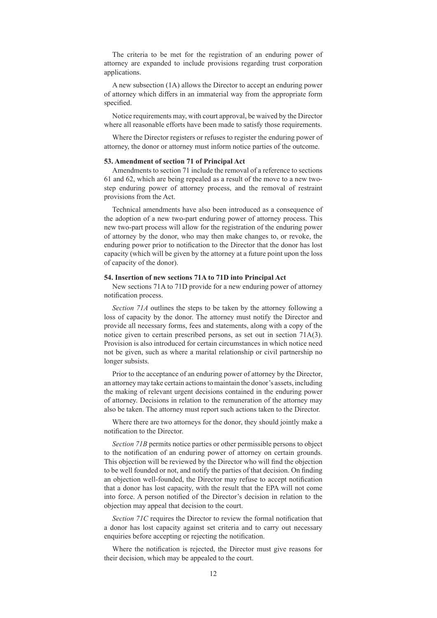The criteria to be met for the registration of an enduring power of attorney are expanded to include provisions regarding trust corporation applications.

A new subsection (1A) allows the Director to accept an enduring power of attorney which differs in an immaterial way from the appropriate form specified.

Notice requirements may, with court approval, be waived by the Director where all reasonable efforts have been made to satisfy those requirements.

Where the Director registers or refuses to register the enduring power of attorney, the donor or attorney must inform notice parties of the outcome.

#### **53. Amendment of section 71 of Principal Act**

Amendments to section 71 include the removal of a reference to sections 61 and 62, which are being repealed as a result of the move to a new twostep enduring power of attorney process, and the removal of restraint provisions from the Act.

Technical amendments have also been introduced as a consequence of the adoption of a new two-part enduring power of attorney process. This new two-part process will allow for the registration of the enduring power of attorney by the donor, who may then make changes to, or revoke, the enduring power prior to notification to the Director that the donor has lost capacity (which will be given by the attorney at a future point upon the loss of capacity of the donor).

## **54. Insertion of new sections 71A to 71D into Principal Act**

New sections 71A to 71D provide for a new enduring power of attorney notification process.

*Section 71A* outlines the steps to be taken by the attorney following a loss of capacity by the donor. The attorney must notify the Director and provide all necessary forms, fees and statements, along with a copy of the notice given to certain prescribed persons, as set out in section 71A(3). Provision is also introduced for certain circumstances in which notice need not be given, such as where a marital relationship or civil partnership no longer subsists.

Prior to the acceptance of an enduring power of attorney by the Director, an attorney may take certain actions to maintain the donor's assets, including the making of relevant urgent decisions contained in the enduring power of attorney. Decisions in relation to the remuneration of the attorney may also be taken. The attorney must report such actions taken to the Director.

Where there are two attorneys for the donor, they should jointly make a notification to the Director.

*Section 71B* permits notice parties or other permissible persons to object to the notification of an enduring power of attorney on certain grounds. This objection will be reviewed by the Director who will find the objection to be well founded or not, and notify the parties of that decision. On finding an objection well-founded, the Director may refuse to accept notification that a donor has lost capacity, with the result that the EPA will not come into force. A person notified of the Director's decision in relation to the objection may appeal that decision to the court.

*Section 71C* requires the Director to review the formal notification that a donor has lost capacity against set criteria and to carry out necessary enquiries before accepting or rejecting the notification.

Where the notification is rejected, the Director must give reasons for their decision, which may be appealed to the court.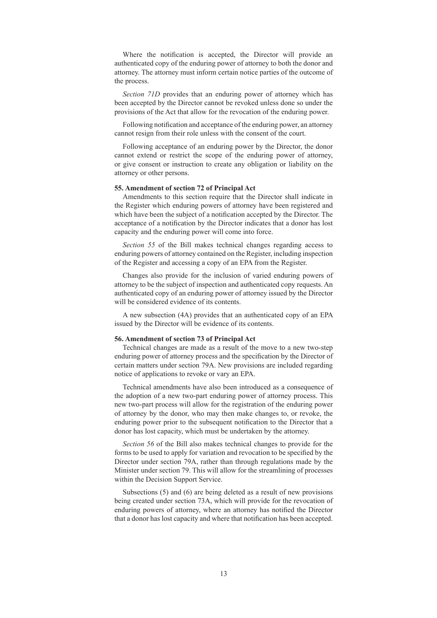Where the notification is accepted, the Director will provide an authenticated copy of the enduring power of attorney to both the donor and attorney. The attorney must inform certain notice parties of the outcome of the process.

*Section 71D* provides that an enduring power of attorney which has been accepted by the Director cannot be revoked unless done so under the provisions of the Act that allow for the revocation of the enduring power.

Following notification and acceptance of the enduring power, an attorney cannot resign from their role unless with the consent of the court.

Following acceptance of an enduring power by the Director, the donor cannot extend or restrict the scope of the enduring power of attorney, or give consent or instruction to create any obligation or liability on the attorney or other persons.

# **55. Amendment of section 72 of Principal Act**

Amendments to this section require that the Director shall indicate in the Register which enduring powers of attorney have been registered and which have been the subject of a notification accepted by the Director. The acceptance of a notification by the Director indicates that a donor has lost capacity and the enduring power will come into force.

*Section 55* of the Bill makes technical changes regarding access to enduring powers of attorney contained on the Register, including inspection of the Register and accessing a copy of an EPA from the Register.

Changes also provide for the inclusion of varied enduring powers of attorney to be the subject of inspection and authenticated copy requests. An authenticated copy of an enduring power of attorney issued by the Director will be considered evidence of its contents.

A new subsection (4A) provides that an authenticated copy of an EPA issued by the Director will be evidence of its contents.

#### **56. Amendment of section 73 of Principal Act**

Technical changes are made as a result of the move to a new two-step enduring power of attorney process and the specification by the Director of certain matters under section 79A. New provisions are included regarding notice of applications to revoke or vary an EPA.

Technical amendments have also been introduced as a consequence of the adoption of a new two-part enduring power of attorney process. This new two-part process will allow for the registration of the enduring power of attorney by the donor, who may then make changes to, or revoke, the enduring power prior to the subsequent notification to the Director that a donor has lost capacity, which must be undertaken by the attorney.

*Section 56* of the Bill also makes technical changes to provide for the forms to be used to apply for variation and revocation to be specified by the Director under section 79A, rather than through regulations made by the Minister under section 79. This will allow for the streamlining of processes within the Decision Support Service.

Subsections (5) and (6) are being deleted as a result of new provisions being created under section 73A, which will provide for the revocation of enduring powers of attorney, where an attorney has notified the Director that a donor has lost capacity and where that notification has been accepted.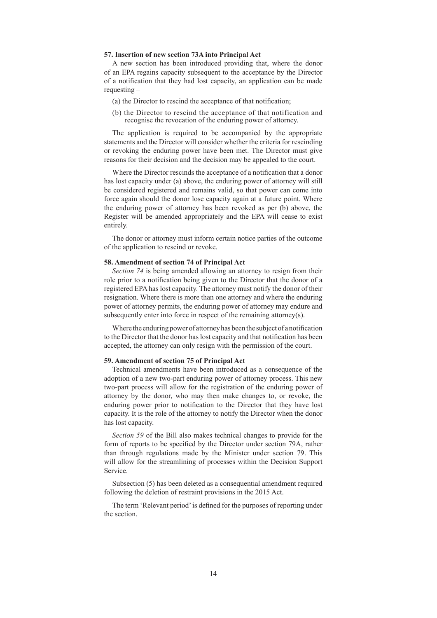# **57. Insertion of new section 73A into Principal Act**

A new section has been introduced providing that, where the donor of an EPA regains capacity subsequent to the acceptance by the Director of a notification that they had lost capacity, an application can be made requesting –

- (a) the Director to rescind the acceptance of that notification;
- (b) the Director to rescind the acceptance of that notification and recognise the revocation of the enduring power of attorney.

The application is required to be accompanied by the appropriate statements and the Director will consider whether the criteria for rescinding or revoking the enduring power have been met. The Director must give reasons for their decision and the decision may be appealed to the court.

Where the Director rescinds the acceptance of a notification that a donor has lost capacity under (a) above, the enduring power of attorney will still be considered registered and remains valid, so that power can come into force again should the donor lose capacity again at a future point. Where the enduring power of attorney has been revoked as per (b) above, the Register will be amended appropriately and the EPA will cease to exist entirely.

The donor or attorney must inform certain notice parties of the outcome of the application to rescind or revoke.

# **58. Amendment of section 74 of Principal Act**

*Section 74* is being amended allowing an attorney to resign from their role prior to a notification being given to the Director that the donor of a registered EPA has lost capacity. The attorney must notify the donor of their resignation. Where there is more than one attorney and where the enduring power of attorney permits, the enduring power of attorney may endure and subsequently enter into force in respect of the remaining attorney(s).

Where the enduring power of attorney has been the subject of a notification to the Director that the donor has lost capacity and that notification has been accepted, the attorney can only resign with the permission of the court.

## **59. Amendment of section 75 of Principal Act**

Technical amendments have been introduced as a consequence of the adoption of a new two-part enduring power of attorney process. This new two-part process will allow for the registration of the enduring power of attorney by the donor, who may then make changes to, or revoke, the enduring power prior to notification to the Director that they have lost capacity. It is the role of the attorney to notify the Director when the donor has lost capacity.

*Section 59* of the Bill also makes technical changes to provide for the form of reports to be specified by the Director under section 79A, rather than through regulations made by the Minister under section 79. This will allow for the streamlining of processes within the Decision Support Service.

Subsection (5) has been deleted as a consequential amendment required following the deletion of restraint provisions in the 2015 Act.

The term 'Relevant period' is defined for the purposes of reporting under the section.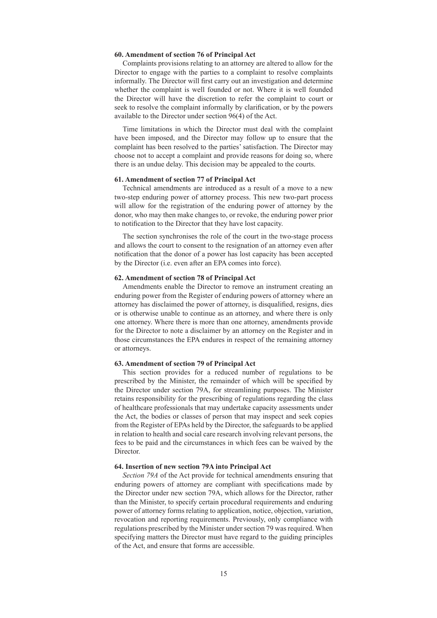# **60. Amendment of section 76 of Principal Act**

Complaints provisions relating to an attorney are altered to allow for the Director to engage with the parties to a complaint to resolve complaints informally. The Director will first carry out an investigation and determine whether the complaint is well founded or not. Where it is well founded the Director will have the discretion to refer the complaint to court or seek to resolve the complaint informally by clarification, or by the powers available to the Director under section 96(4) of the Act.

Time limitations in which the Director must deal with the complaint have been imposed, and the Director may follow up to ensure that the complaint has been resolved to the parties' satisfaction. The Director may choose not to accept a complaint and provide reasons for doing so, where there is an undue delay. This decision may be appealed to the courts.

# **61. Amendment of section 77 of Principal Act**

Technical amendments are introduced as a result of a move to a new two-step enduring power of attorney process. This new two-part process will allow for the registration of the enduring power of attorney by the donor, who may then make changes to, or revoke, the enduring power prior to notification to the Director that they have lost capacity.

The section synchronises the role of the court in the two-stage process and allows the court to consent to the resignation of an attorney even after notification that the donor of a power has lost capacity has been accepted by the Director (i.e. even after an EPA comes into force).

## **62. Amendment of section 78 of Principal Act**

Amendments enable the Director to remove an instrument creating an enduring power from the Register of enduring powers of attorney where an attorney has disclaimed the power of attorney, is disqualified, resigns, dies or is otherwise unable to continue as an attorney, and where there is only one attorney. Where there is more than one attorney, amendments provide for the Director to note a disclaimer by an attorney on the Register and in those circumstances the EPA endures in respect of the remaining attorney or attorneys.

#### **63. Amendment of section 79 of Principal Act**

This section provides for a reduced number of regulations to be prescribed by the Minister, the remainder of which will be specified by the Director under section 79A, for streamlining purposes. The Minister retains responsibility for the prescribing of regulations regarding the class of healthcare professionals that may undertake capacity assessments under the Act, the bodies or classes of person that may inspect and seek copies from the Register of EPAs held by the Director, the safeguards to be applied in relation to health and social care research involving relevant persons, the fees to be paid and the circumstances in which fees can be waived by the Director.

#### **64. Insertion of new section 79A into Principal Act**

*Section 79A* of the Act provide for technical amendments ensuring that enduring powers of attorney are compliant with specifications made by the Director under new section 79A, which allows for the Director, rather than the Minister, to specify certain procedural requirements and enduring power of attorney forms relating to application, notice, objection, variation, revocation and reporting requirements. Previously, only compliance with regulations prescribed by the Minister under section 79 was required. When specifying matters the Director must have regard to the guiding principles of the Act, and ensure that forms are accessible.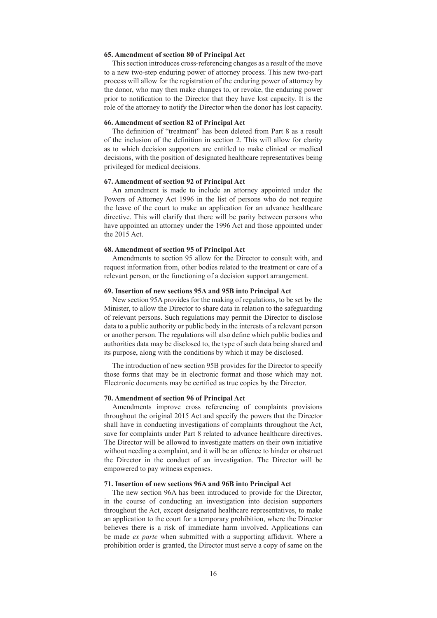# **65. Amendment of section 80 of Principal Act**

This section introduces cross-referencing changes as a result of the move to a new two-step enduring power of attorney process. This new two-part process will allow for the registration of the enduring power of attorney by the donor, who may then make changes to, or revoke, the enduring power prior to notification to the Director that they have lost capacity. It is the role of the attorney to notify the Director when the donor has lost capacity.

#### **66. Amendment of section 82 of Principal Act**

The definition of "treatment" has been deleted from Part 8 as a result of the inclusion of the definition in section 2. This will allow for clarity as to which decision supporters are entitled to make clinical or medical decisions, with the position of designated healthcare representatives being privileged for medical decisions.

# **67. Amendment of section 92 of Principal Act**

An amendment is made to include an attorney appointed under the Powers of Attorney Act 1996 in the list of persons who do not require the leave of the court to make an application for an advance healthcare directive. This will clarify that there will be parity between persons who have appointed an attorney under the 1996 Act and those appointed under the 2015 Act.

# **68. Amendment of section 95 of Principal Act**

Amendments to section 95 allow for the Director to consult with, and request information from, other bodies related to the treatment or care of a relevant person, or the functioning of a decision support arrangement.

## **69. Insertion of new sections 95A and 95B into Principal Act**

New section 95A provides for the making of regulations, to be set by the Minister, to allow the Director to share data in relation to the safeguarding of relevant persons. Such regulations may permit the Director to disclose data to a public authority or public body in the interests of a relevant person or another person. The regulations will also define which public bodies and authorities data may be disclosed to, the type of such data being shared and its purpose, along with the conditions by which it may be disclosed.

The introduction of new section 95B provides for the Director to specify those forms that may be in electronic format and those which may not. Electronic documents may be certified as true copies by the Director.

# **70. Amendment of section 96 of Principal Act**

Amendments improve cross referencing of complaints provisions throughout the original 2015 Act and specify the powers that the Director shall have in conducting investigations of complaints throughout the Act, save for complaints under Part 8 related to advance healthcare directives. The Director will be allowed to investigate matters on their own initiative without needing a complaint, and it will be an offence to hinder or obstruct the Director in the conduct of an investigation. The Director will be empowered to pay witness expenses.

# **71. Insertion of new sections 96A and 96B into Principal Act**

The new section 96A has been introduced to provide for the Director, in the course of conducting an investigation into decision supporters throughout the Act, except designated healthcare representatives, to make an application to the court for a temporary prohibition, where the Director believes there is a risk of immediate harm involved. Applications can be made *ex parte* when submitted with a supporting affidavit. Where a prohibition order is granted, the Director must serve a copy of same on the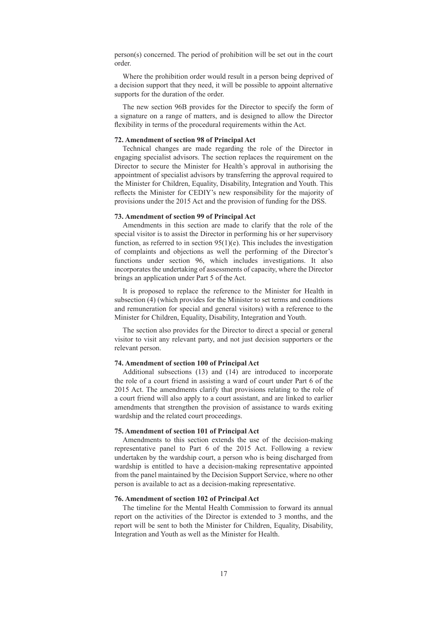person(s) concerned. The period of prohibition will be set out in the court order.

Where the prohibition order would result in a person being deprived of a decision support that they need, it will be possible to appoint alternative supports for the duration of the order.

The new section 96B provides for the Director to specify the form of a signature on a range of matters, and is designed to allow the Director flexibility in terms of the procedural requirements within the Act.

#### **72. Amendment of section 98 of Principal Act**

Technical changes are made regarding the role of the Director in engaging specialist advisors. The section replaces the requirement on the Director to secure the Minister for Health's approval in authorising the appointment of specialist advisors by transferring the approval required to the Minister for Children, Equality, Disability, Integration and Youth. This reflects the Minister for CEDIY's new responsibility for the majority of provisions under the 2015 Act and the provision of funding for the DSS.

#### **73. Amendment of section 99 of Principal Act**

Amendments in this section are made to clarify that the role of the special visitor is to assist the Director in performing his or her supervisory function, as referred to in section  $95(1)(e)$ . This includes the investigation of complaints and objections as well the performing of the Director's functions under section 96, which includes investigations. It also incorporates the undertaking of assessments of capacity, where the Director brings an application under Part 5 of the Act.

It is proposed to replace the reference to the Minister for Health in subsection (4) (which provides for the Minister to set terms and conditions and remuneration for special and general visitors) with a reference to the Minister for Children, Equality, Disability, Integration and Youth.

The section also provides for the Director to direct a special or general visitor to visit any relevant party, and not just decision supporters or the relevant person.

#### **74. Amendment of section 100 of Principal Act**

Additional subsections (13) and (14) are introduced to incorporate the role of a court friend in assisting a ward of court under Part 6 of the 2015 Act. The amendments clarify that provisions relating to the role of a court friend will also apply to a court assistant, and are linked to earlier amendments that strengthen the provision of assistance to wards exiting wardship and the related court proceedings.

## **75. Amendment of section 101 of Principal Act**

Amendments to this section extends the use of the decision-making representative panel to Part 6 of the 2015 Act. Following a review undertaken by the wardship court, a person who is being discharged from wardship is entitled to have a decision-making representative appointed from the panel maintained by the Decision Support Service, where no other person is available to act as a decision-making representative.

# **76. Amendment of section 102 of Principal Act**

The timeline for the Mental Health Commission to forward its annual report on the activities of the Director is extended to 3 months, and the report will be sent to both the Minister for Children, Equality, Disability, Integration and Youth as well as the Minister for Health.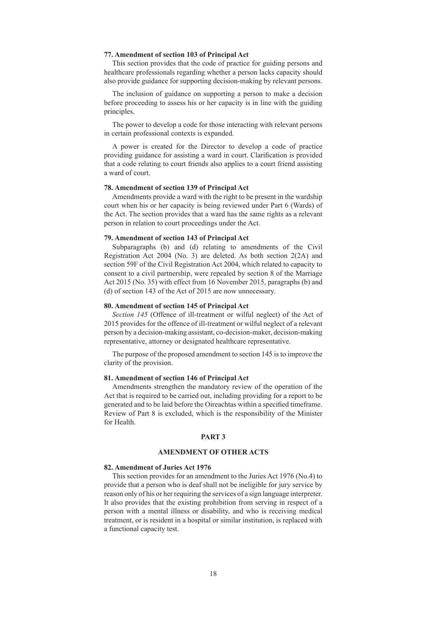# **77. Amendment of section 103 of Principal Act**

This section provides that the code of practice for guiding persons and healthcare professionals regarding whether a person lacks capacity should also provide guidance for supporting decision-making by relevant persons.

The inclusion of guidance on supporting a person to make a decision before proceeding to assess his or her capacity is in line with the guiding principles.

The power to develop a code for those interacting with relevant persons in certain professional contexts is expanded.

A power is created for the Director to develop a code of practice providing guidance for assisting a ward in court. Clarification is provided that a code relating to court friends also applies to a court friend assisting a ward of court.

## **78. Amendment of section 139 of Principal Act**

Amendments provide a ward with the right to be present in the wardship court when his or her capacity is being reviewed under Part 6 (Wards) of the Act. The section provides that a ward has the same rights as a relevant person in relation to court proceedings under the Act.

# **79. Amendment of section 143 of Principal Act**

Subparagraphs (b) and (d) relating to amendments of the Civil Registration Act 2004 (No. 3) are deleted. As both section 2(2A) and section 59F of the Civil Registration Act 2004, which related to capacity to consent to a civil partnership, were repealed by section 8 of the Marriage Act 2015 (No. 35) with effect from 16 November 2015, paragraphs (b) and (d) of section 143 of the Act of 2015 are now unnecessary.

# **80. Amendment of section 145 of Principal Act**

*Section 145* (Offence of ill-treatment or wilful neglect) of the Act of 2015 provides for the offence of ill-treatment or wilful neglect of a relevant person by a decision-making assistant, co-decision-maker, decision-making representative, attorney or designated healthcare representative.

The purpose of the proposed amendment to section 145 is to improve the clarity of the provision.

# **81. Amendment of section 146 of Principal Act**

Amendments strengthen the mandatory review of the operation of the Act that is required to be carried out, including providing for a report to be generated and to be laid before the Oireachtas within a specified timeframe. Review of Part 8 is excluded, which is the responsibility of the Minister for Health.

# **PART 3**

# **AMENDMENT OF OTHER ACTS**

#### **82. Amendment of Juries Act 1976**

This section provides for an amendment to the Juries Act 1976 (No.4) to provide that a person who is deaf shall not be ineligible for jury service by reason only of his or her requiring the services of a sign language interpreter. It also provides that the existing prohibition from serving in respect of a person with a mental illness or disability, and who is receiving medical treatment, or is resident in a hospital or similar institution, is replaced with a functional capacity test.